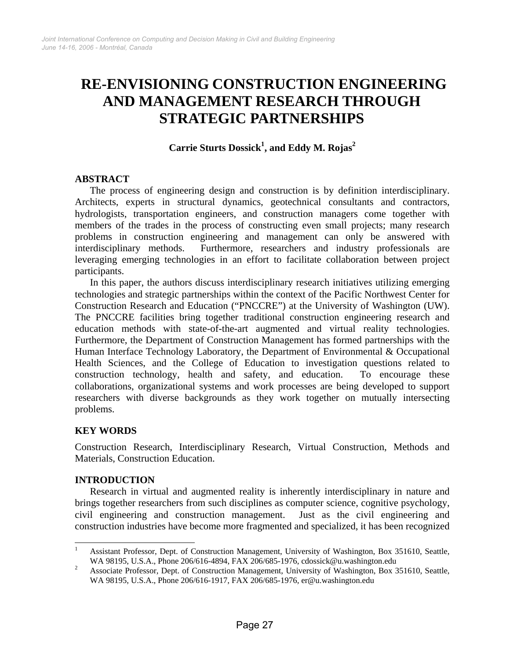# **RE-ENVISIONING CONSTRUCTION ENGINEERING AND MANAGEMENT RESEARCH THROUGH STRATEGIC PARTNERSHIPS**

**Carrie Sturts Dossick<sup>1</sup> , and Eddy M. Rojas<sup>2</sup>** 

## **ABSTRACT**

The process of engineering design and construction is by definition interdisciplinary. Architects, experts in structural dynamics, geotechnical consultants and contractors, hydrologists, transportation engineers, and construction managers come together with members of the trades in the process of constructing even small projects; many research problems in construction engineering and management can only be answered with interdisciplinary methods. Furthermore, researchers and industry professionals are leveraging emerging technologies in an effort to facilitate collaboration between project participants.

In this paper, the authors discuss interdisciplinary research initiatives utilizing emerging technologies and strategic partnerships within the context of the Pacific Northwest Center for Construction Research and Education ("PNCCRE") at the University of Washington (UW). The PNCCRE facilities bring together traditional construction engineering research and education methods with state-of-the-art augmented and virtual reality technologies. Furthermore, the Department of Construction Management has formed partnerships with the Human Interface Technology Laboratory, the Department of Environmental & Occupational Health Sciences, and the College of Education to investigation questions related to construction technology, health and safety, and education. To encourage these collaborations, organizational systems and work processes are being developed to support researchers with diverse backgrounds as they work together on mutually intersecting problems.

## **KEY WORDS**

Construction Research, Interdisciplinary Research, Virtual Construction, Methods and Materials, Construction Education.

#### **INTRODUCTION**

Research in virtual and augmented reality is inherently interdisciplinary in nature and brings together researchers from such disciplines as computer science, cognitive psychology, civil engineering and construction management. Just as the civil engineering and construction industries have become more fragmented and specialized, it has been recognized

 $\frac{1}{1}$  Assistant Professor, Dept. of Construction Management, University of Washington, Box 351610, Seattle, WA 98195, U.S.A., Phone 206/616-4894, FAX 206/685-1976, cdossick@u.washington.edu<br>2 Associate Professor, Dont of Construction Managament, University of Weshington, Box 2

Associate Professor, Dept. of Construction Management, University of Washington, Box 351610, Seattle, WA 98195, U.S.A., Phone 206/616-1917, FAX 206/685-1976, er@u.washington.edu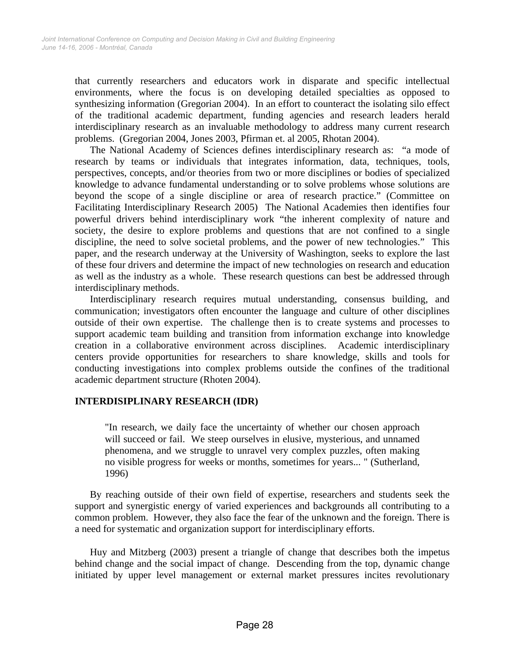that currently researchers and educators work in disparate and specific intellectual environments, where the focus is on developing detailed specialties as opposed to synthesizing information (Gregorian 2004). In an effort to counteract the isolating silo effect of the traditional academic department, funding agencies and research leaders herald interdisciplinary research as an invaluable methodology to address many current research problems. (Gregorian 2004, Jones 2003, Pfirman et. al 2005, Rhotan 2004).

The National Academy of Sciences defines interdisciplinary research as: "a mode of research by teams or individuals that integrates information, data, techniques, tools, perspectives, concepts, and/or theories from two or more disciplines or bodies of specialized knowledge to advance fundamental understanding or to solve problems whose solutions are beyond the scope of a single discipline or area of research practice." (Committee on Facilitating Interdisciplinary Research 2005) The National Academies then identifies four powerful drivers behind interdisciplinary work "the inherent complexity of nature and society, the desire to explore problems and questions that are not confined to a single discipline, the need to solve societal problems, and the power of new technologies." This paper, and the research underway at the University of Washington, seeks to explore the last of these four drivers and determine the impact of new technologies on research and education as well as the industry as a whole. These research questions can best be addressed through interdisciplinary methods.

Interdisciplinary research requires mutual understanding, consensus building, and communication; investigators often encounter the language and culture of other disciplines outside of their own expertise. The challenge then is to create systems and processes to support academic team building and transition from information exchange into knowledge creation in a collaborative environment across disciplines. Academic interdisciplinary centers provide opportunities for researchers to share knowledge, skills and tools for conducting investigations into complex problems outside the confines of the traditional academic department structure (Rhoten 2004).

#### **INTERDISIPLINARY RESEARCH (IDR)**

"In research, we daily face the uncertainty of whether our chosen approach will succeed or fail. We steep ourselves in elusive, mysterious, and unnamed phenomena, and we struggle to unravel very complex puzzles, often making no visible progress for weeks or months, sometimes for years... " (Sutherland, 1996)

By reaching outside of their own field of expertise, researchers and students seek the support and synergistic energy of varied experiences and backgrounds all contributing to a common problem. However, they also face the fear of the unknown and the foreign. There is a need for systematic and organization support for interdisciplinary efforts.

Huy and Mitzberg (2003) present a triangle of change that describes both the impetus behind change and the social impact of change. Descending from the top, dynamic change initiated by upper level management or external market pressures incites revolutionary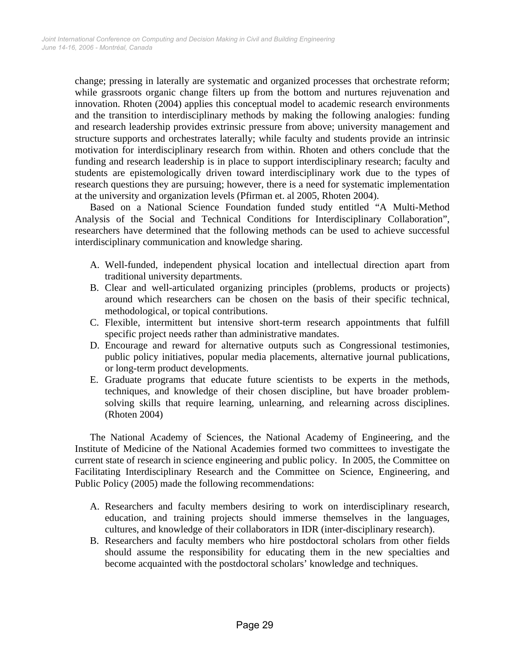change; pressing in laterally are systematic and organized processes that orchestrate reform; while grassroots organic change filters up from the bottom and nurtures rejuvenation and innovation. Rhoten (2004) applies this conceptual model to academic research environments and the transition to interdisciplinary methods by making the following analogies: funding and research leadership provides extrinsic pressure from above; university management and structure supports and orchestrates laterally; while faculty and students provide an intrinsic motivation for interdisciplinary research from within. Rhoten and others conclude that the funding and research leadership is in place to support interdisciplinary research; faculty and students are epistemologically driven toward interdisciplinary work due to the types of research questions they are pursuing; however, there is a need for systematic implementation at the university and organization levels (Pfirman et. al 2005, Rhoten 2004).

Based on a National Science Foundation funded study entitled "A Multi-Method Analysis of the Social and Technical Conditions for Interdisciplinary Collaboration", researchers have determined that the following methods can be used to achieve successful interdisciplinary communication and knowledge sharing.

- A. Well-funded, independent physical location and intellectual direction apart from traditional university departments.
- B. Clear and well-articulated organizing principles (problems, products or projects) around which researchers can be chosen on the basis of their specific technical, methodological, or topical contributions.
- C. Flexible, intermittent but intensive short-term research appointments that fulfill specific project needs rather than administrative mandates.
- D. Encourage and reward for alternative outputs such as Congressional testimonies, public policy initiatives, popular media placements, alternative journal publications, or long-term product developments.
- E. Graduate programs that educate future scientists to be experts in the methods, techniques, and knowledge of their chosen discipline, but have broader problemsolving skills that require learning, unlearning, and relearning across disciplines. (Rhoten 2004)

The National Academy of Sciences, the National Academy of Engineering, and the Institute of Medicine of the National Academies formed two committees to investigate the current state of research in science engineering and public policy. In 2005, the Committee on Facilitating Interdisciplinary Research and the Committee on Science, Engineering, and Public Policy (2005) made the following recommendations:

- A. Researchers and faculty members desiring to work on interdisciplinary research, education, and training projects should immerse themselves in the languages, cultures, and knowledge of their collaborators in IDR (inter-disciplinary research).
- B. Researchers and faculty members who hire postdoctoral scholars from other fields should assume the responsibility for educating them in the new specialties and become acquainted with the postdoctoral scholars' knowledge and techniques.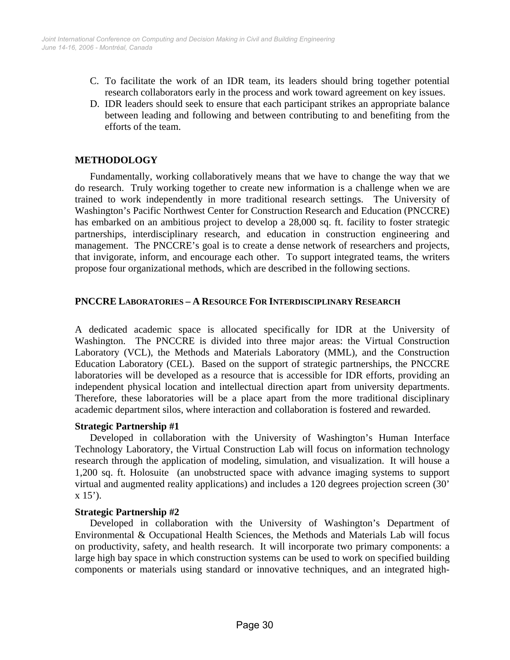- C. To facilitate the work of an IDR team, its leaders should bring together potential research collaborators early in the process and work toward agreement on key issues.
- D. IDR leaders should seek to ensure that each participant strikes an appropriate balance between leading and following and between contributing to and benefiting from the efforts of the team.

## **METHODOLOGY**

Fundamentally, working collaboratively means that we have to change the way that we do research. Truly working together to create new information is a challenge when we are trained to work independently in more traditional research settings. The University of Washington's Pacific Northwest Center for Construction Research and Education (PNCCRE) has embarked on an ambitious project to develop a 28,000 sq. ft. facility to foster strategic partnerships, interdisciplinary research, and education in construction engineering and management. The PNCCRE's goal is to create a dense network of researchers and projects, that invigorate, inform, and encourage each other. To support integrated teams, the writers propose four organizational methods, which are described in the following sections.

#### **PNCCRE LABORATORIES – A RESOURCE FOR INTERDISCIPLINARY RESEARCH**

A dedicated academic space is allocated specifically for IDR at the University of Washington. The PNCCRE is divided into three major areas: the Virtual Construction Laboratory (VCL), the Methods and Materials Laboratory (MML), and the Construction Education Laboratory (CEL). Based on the support of strategic partnerships, the PNCCRE laboratories will be developed as a resource that is accessible for IDR efforts, providing an independent physical location and intellectual direction apart from university departments. Therefore, these laboratories will be a place apart from the more traditional disciplinary academic department silos, where interaction and collaboration is fostered and rewarded.

#### **Strategic Partnership #1**

Developed in collaboration with the University of Washington's Human Interface Technology Laboratory, the Virtual Construction Lab will focus on information technology research through the application of modeling, simulation, and visualization. It will house a 1,200 sq. ft. Holosuite (an unobstructed space with advance imaging systems to support virtual and augmented reality applications) and includes a 120 degrees projection screen (30'  $x 15$ <sup>'</sup>).

#### **Strategic Partnership #2**

Developed in collaboration with the University of Washington's Department of Environmental & Occupational Health Sciences, the Methods and Materials Lab will focus on productivity, safety, and health research. It will incorporate two primary components: a large high bay space in which construction systems can be used to work on specified building components or materials using standard or innovative techniques, and an integrated high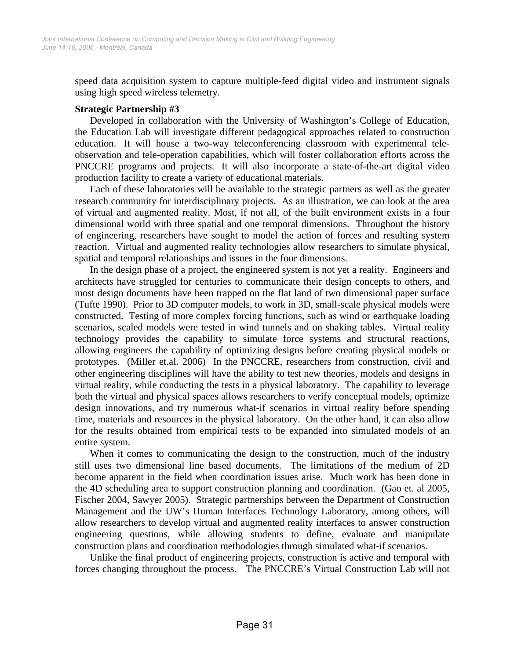speed data acquisition system to capture multiple-feed digital video and instrument signals using high speed wireless telemetry.

#### **Strategic Partnership #3**

Developed in collaboration with the University of Washington's College of Education, the Education Lab will investigate different pedagogical approaches related to construction education. It will house a two-way teleconferencing classroom with experimental teleobservation and tele-operation capabilities, which will foster collaboration efforts across the PNCCRE programs and projects. It will also incorporate a state-of-the-art digital video production facility to create a variety of educational materials.

Each of these laboratories will be available to the strategic partners as well as the greater research community for interdisciplinary projects. As an illustration, we can look at the area of virtual and augmented reality. Most, if not all, of the built environment exists in a four dimensional world with three spatial and one temporal dimensions. Throughout the history of engineering, researchers have sought to model the action of forces and resulting system reaction. Virtual and augmented reality technologies allow researchers to simulate physical, spatial and temporal relationships and issues in the four dimensions.

In the design phase of a project, the engineered system is not yet a reality. Engineers and architects have struggled for centuries to communicate their design concepts to others, and most design documents have been trapped on the flat land of two dimensional paper surface (Tufte 1990). Prior to 3D computer models, to work in 3D, small-scale physical models were constructed. Testing of more complex forcing functions, such as wind or earthquake loading scenarios, scaled models were tested in wind tunnels and on shaking tables. Virtual reality technology provides the capability to simulate force systems and structural reactions, allowing engineers the capability of optimizing designs before creating physical models or prototypes. (Miller et.al. 2006) In the PNCCRE, researchers from construction, civil and other engineering disciplines will have the ability to test new theories, models and designs in virtual reality, while conducting the tests in a physical laboratory. The capability to leverage both the virtual and physical spaces allows researchers to verify conceptual models, optimize design innovations, and try numerous what-if scenarios in virtual reality before spending time, materials and resources in the physical laboratory. On the other hand, it can also allow for the results obtained from empirical tests to be expanded into simulated models of an entire system.

When it comes to communicating the design to the construction, much of the industry still uses two dimensional line based documents. The limitations of the medium of 2D become apparent in the field when coordination issues arise. Much work has been done in the 4D scheduling area to support construction planning and coordination. (Gao et. al 2005, Fischer 2004, Sawyer 2005). Strategic partnerships between the Department of Construction Management and the UW's Human Interfaces Technology Laboratory, among others, will allow researchers to develop virtual and augmented reality interfaces to answer construction engineering questions, while allowing students to define, evaluate and manipulate construction plans and coordination methodologies through simulated what-if scenarios.

Unlike the final product of engineering projects, construction is active and temporal with forces changing throughout the process. The PNCCRE's Virtual Construction Lab will not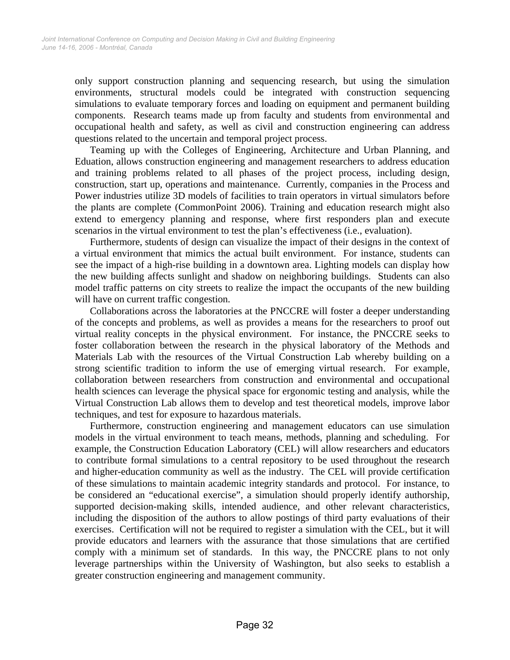only support construction planning and sequencing research, but using the simulation environments, structural models could be integrated with construction sequencing simulations to evaluate temporary forces and loading on equipment and permanent building components. Research teams made up from faculty and students from environmental and occupational health and safety, as well as civil and construction engineering can address questions related to the uncertain and temporal project process.

Teaming up with the Colleges of Engineering, Architecture and Urban Planning, and Eduation, allows construction engineering and management researchers to address education and training problems related to all phases of the project process, including design, construction, start up, operations and maintenance. Currently, companies in the Process and Power industries utilize 3D models of facilities to train operators in virtual simulators before the plants are complete (CommonPoint 2006). Training and education research might also extend to emergency planning and response, where first responders plan and execute scenarios in the virtual environment to test the plan's effectiveness (i.e., evaluation).

Furthermore, students of design can visualize the impact of their designs in the context of a virtual environment that mimics the actual built environment. For instance, students can see the impact of a high-rise building in a downtown area. Lighting models can display how the new building affects sunlight and shadow on neighboring buildings. Students can also model traffic patterns on city streets to realize the impact the occupants of the new building will have on current traffic congestion.

Collaborations across the laboratories at the PNCCRE will foster a deeper understanding of the concepts and problems, as well as provides a means for the researchers to proof out virtual reality concepts in the physical environment. For instance, the PNCCRE seeks to foster collaboration between the research in the physical laboratory of the Methods and Materials Lab with the resources of the Virtual Construction Lab whereby building on a strong scientific tradition to inform the use of emerging virtual research. For example, collaboration between researchers from construction and environmental and occupational health sciences can leverage the physical space for ergonomic testing and analysis, while the Virtual Construction Lab allows them to develop and test theoretical models, improve labor techniques, and test for exposure to hazardous materials.

Furthermore, construction engineering and management educators can use simulation models in the virtual environment to teach means, methods, planning and scheduling. For example, the Construction Education Laboratory (CEL) will allow researchers and educators to contribute formal simulations to a central repository to be used throughout the research and higher-education community as well as the industry. The CEL will provide certification of these simulations to maintain academic integrity standards and protocol. For instance, to be considered an "educational exercise", a simulation should properly identify authorship, supported decision-making skills, intended audience, and other relevant characteristics, including the disposition of the authors to allow postings of third party evaluations of their exercises. Certification will not be required to register a simulation with the CEL, but it will provide educators and learners with the assurance that those simulations that are certified comply with a minimum set of standards. In this way, the PNCCRE plans to not only leverage partnerships within the University of Washington, but also seeks to establish a greater construction engineering and management community.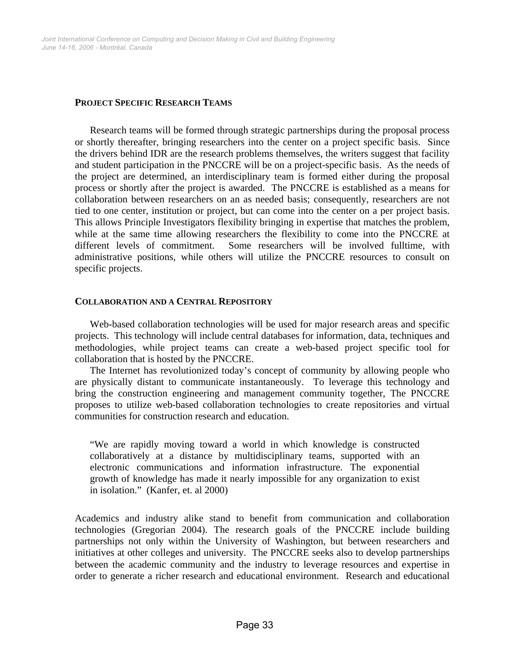#### **PROJECT SPECIFIC RESEARCH TEAMS**

Research teams will be formed through strategic partnerships during the proposal process or shortly thereafter, bringing researchers into the center on a project specific basis. Since the drivers behind IDR are the research problems themselves, the writers suggest that facility and student participation in the PNCCRE will be on a project-specific basis. As the needs of the project are determined, an interdisciplinary team is formed either during the proposal process or shortly after the project is awarded. The PNCCRE is established as a means for collaboration between researchers on an as needed basis; consequently, researchers are not tied to one center, institution or project, but can come into the center on a per project basis. This allows Principle Investigators flexibility bringing in expertise that matches the problem, while at the same time allowing researchers the flexibility to come into the PNCCRE at different levels of commitment. Some researchers will be involved fulltime, with administrative positions, while others will utilize the PNCCRE resources to consult on specific projects.

#### **COLLABORATION AND A CENTRAL REPOSITORY**

Web-based collaboration technologies will be used for major research areas and specific projects. This technology will include central databases for information, data, techniques and methodologies, while project teams can create a web-based project specific tool for collaboration that is hosted by the PNCCRE.

The Internet has revolutionized today's concept of community by allowing people who are physically distant to communicate instantaneously. To leverage this technology and bring the construction engineering and management community together, The PNCCRE proposes to utilize web-based collaboration technologies to create repositories and virtual communities for construction research and education.

"We are rapidly moving toward a world in which knowledge is constructed collaboratively at a distance by multidisciplinary teams, supported with an electronic communications and information infrastructure. The exponential growth of knowledge has made it nearly impossible for any organization to exist in isolation." (Kanfer, et. al 2000)

Academics and industry alike stand to benefit from communication and collaboration technologies (Gregorian 2004). The research goals of the PNCCRE include building partnerships not only within the University of Washington, but between researchers and initiatives at other colleges and university. The PNCCRE seeks also to develop partnerships between the academic community and the industry to leverage resources and expertise in order to generate a richer research and educational environment. Research and educational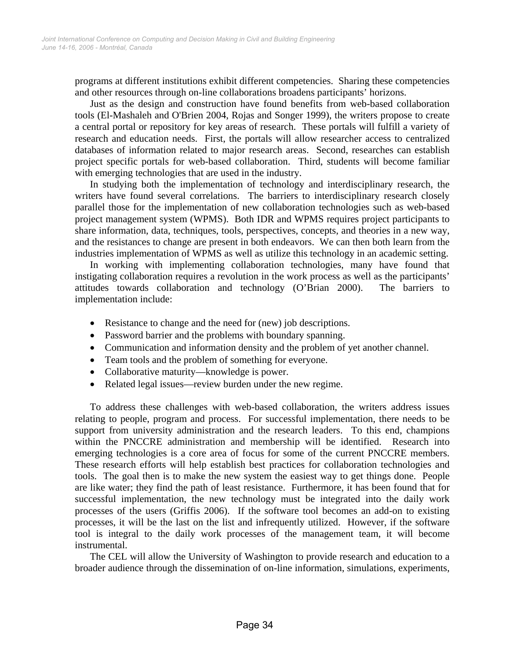programs at different institutions exhibit different competencies. Sharing these competencies and other resources through on-line collaborations broadens participants' horizons.

Just as the design and construction have found benefits from web-based collaboration tools (El-Mashaleh and O'Brien 2004, Rojas and Songer 1999), the writers propose to create a central portal or repository for key areas of research. These portals will fulfill a variety of research and education needs. First, the portals will allow researcher access to centralized databases of information related to major research areas. Second, researches can establish project specific portals for web-based collaboration. Third, students will become familiar with emerging technologies that are used in the industry.

In studying both the implementation of technology and interdisciplinary research, the writers have found several correlations. The barriers to interdisciplinary research closely parallel those for the implementation of new collaboration technologies such as web-based project management system (WPMS). Both IDR and WPMS requires project participants to share information, data, techniques, tools, perspectives, concepts, and theories in a new way, and the resistances to change are present in both endeavors. We can then both learn from the industries implementation of WPMS as well as utilize this technology in an academic setting.

In working with implementing collaboration technologies, many have found that instigating collaboration requires a revolution in the work process as well as the participants' attitudes towards collaboration and technology (O'Brian 2000). The barriers to implementation include:

- Resistance to change and the need for (new) job descriptions.
- Password barrier and the problems with boundary spanning.
- Communication and information density and the problem of yet another channel.
- Team tools and the problem of something for everyone.
- Collaborative maturity—knowledge is power.
- Related legal issues—review burden under the new regime.

To address these challenges with web-based collaboration, the writers address issues relating to people, program and process. For successful implementation, there needs to be support from university administration and the research leaders. To this end, champions within the PNCCRE administration and membership will be identified. Research into emerging technologies is a core area of focus for some of the current PNCCRE members. These research efforts will help establish best practices for collaboration technologies and tools. The goal then is to make the new system the easiest way to get things done. People are like water; they find the path of least resistance. Furthermore, it has been found that for successful implementation, the new technology must be integrated into the daily work processes of the users (Griffis 2006). If the software tool becomes an add-on to existing processes, it will be the last on the list and infrequently utilized. However, if the software tool is integral to the daily work processes of the management team, it will become instrumental.

The CEL will allow the University of Washington to provide research and education to a broader audience through the dissemination of on-line information, simulations, experiments,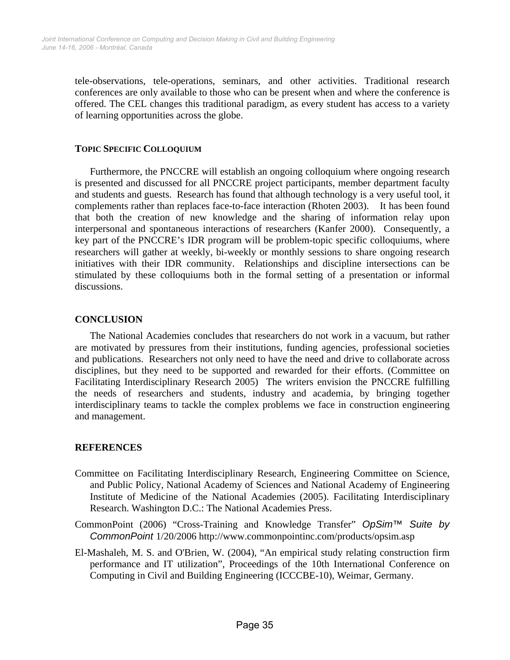tele-observations, tele-operations, seminars, and other activities. Traditional research conferences are only available to those who can be present when and where the conference is offered. The CEL changes this traditional paradigm, as every student has access to a variety of learning opportunities across the globe.

## **TOPIC SPECIFIC COLLOQUIUM**

Furthermore, the PNCCRE will establish an ongoing colloquium where ongoing research is presented and discussed for all PNCCRE project participants, member department faculty and students and guests. Research has found that although technology is a very useful tool, it complements rather than replaces face-to-face interaction (Rhoten 2003). It has been found that both the creation of new knowledge and the sharing of information relay upon interpersonal and spontaneous interactions of researchers (Kanfer 2000). Consequently, a key part of the PNCCRE's IDR program will be problem-topic specific colloquiums, where researchers will gather at weekly, bi-weekly or monthly sessions to share ongoing research initiatives with their IDR community. Relationships and discipline intersections can be stimulated by these colloquiums both in the formal setting of a presentation or informal discussions.

## **CONCLUSION**

The National Academies concludes that researchers do not work in a vacuum, but rather are motivated by pressures from their institutions, funding agencies, professional societies and publications. Researchers not only need to have the need and drive to collaborate across disciplines, but they need to be supported and rewarded for their efforts. (Committee on Facilitating Interdisciplinary Research 2005) The writers envision the PNCCRE fulfilling the needs of researchers and students, industry and academia, by bringing together interdisciplinary teams to tackle the complex problems we face in construction engineering and management.

## **REFERENCES**

- Committee on Facilitating Interdisciplinary Research, Engineering Committee on Science, and Public Policy, National Academy of Sciences and National Academy of Engineering Institute of Medicine of the National Academies (2005). Facilitating Interdisciplinary Research. Washington D.C.: The National Academies Press.
- CommonPoint (2006) "Cross-Training and Knowledge Transfer" *OpSim™ Suite by CommonPoint* 1/20/2006 http://www.commonpointinc.com/products/opsim.asp
- El-Mashaleh, M. S. and O'Brien, W. (2004), "An empirical study relating construction firm performance and IT utilization", Proceedings of the 10th International Conference on Computing in Civil and Building Engineering (ICCCBE-10), Weimar, Germany.